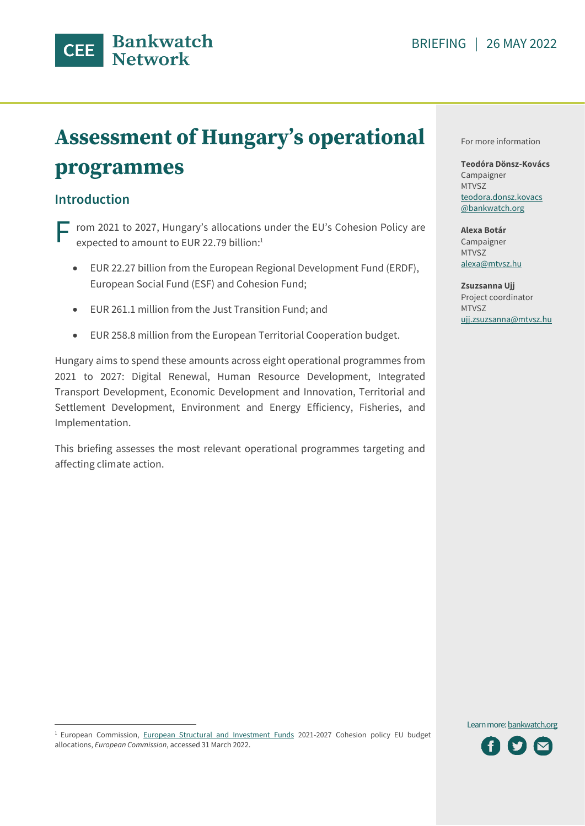

# **Assessment of Hungary's operational** programmes

# **Introduction**

rom 2021 to 2027, Hungary's allocations under the EU's Cohesion Policy are expected to amount to EUR 22.79 billion:<sup>1</sup> F

- EUR 22.27 billion from the European Regional Development Fund (ERDF), European Social Fund (ESF) and Cohesion Fund;
- EUR 261.1 million from the Just Transition Fund; and
- EUR 258.8 million from the European Territorial Cooperation budget.

Hungary aims to spend these amounts across eight operational programmes from 2021 to 2027: Digital Renewal, Human Resource Development, Integrated Transport Development, Economic Development and Innovation, Territorial and Settlement Development, Environment and Energy Efficiency, Fisheries, and Implementation.

This briefing assesses the most relevant operational programmes targeting and affecting climate action.

For more information

**Teodóra Dönsz-Kovács** Campaigner MTVSZ teodora.donsz.kovacs @bankwatch.org

**Alexa Botár** Campaigner MTVSZ alexa@mtvsz.hu

**Zsuzsanna Ujj** Project coordinator MTVSZ ujj.zsuzsanna@mtvsz.hu

Learn mor[e: bankwatch.org](http://bankwatch.org/)



<sup>&</sup>lt;sup>1</sup> European Commission, [European Structural and Investment Funds](https://cohesiondata.ec.europa.eu/stories/s/2021-2027-EU-allocations-available-for-programming/2w8s-ci3y/) 2021-2027 Cohesion policy EU budget allocations, *European Commission*, accessed 31 March 2022.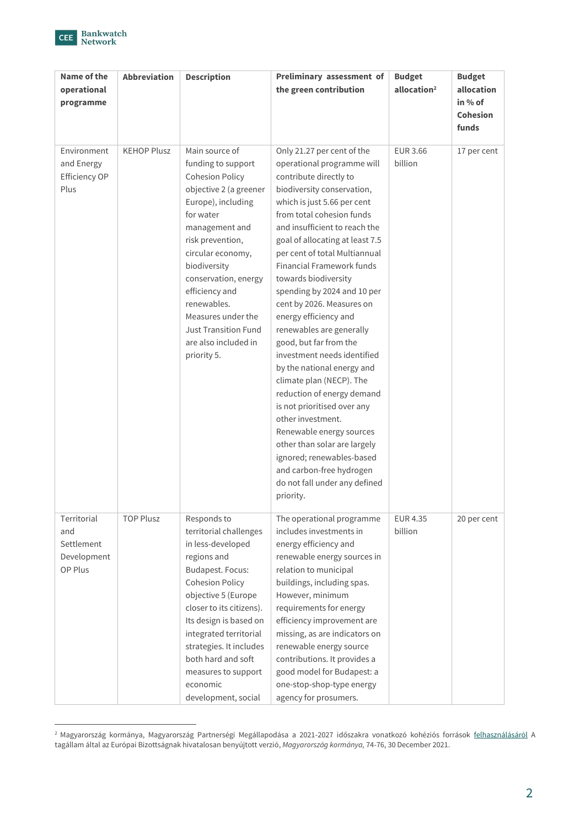

| Name of the<br>operational<br>programme                    | <b>Abbreviation</b> | <b>Description</b>                                                                                                                                                                                                                                                                                                                                          | Preliminary assessment of<br>the green contribution                                                                                                                                                                                                                                                                                                                                                                                                                                                                                                                                                                                                                                                                                                                                                                                    | <b>Budget</b><br>allocation <sup>2</sup> | <b>Budget</b><br>allocation<br>in % of<br><b>Cohesion</b><br>funds |
|------------------------------------------------------------|---------------------|-------------------------------------------------------------------------------------------------------------------------------------------------------------------------------------------------------------------------------------------------------------------------------------------------------------------------------------------------------------|----------------------------------------------------------------------------------------------------------------------------------------------------------------------------------------------------------------------------------------------------------------------------------------------------------------------------------------------------------------------------------------------------------------------------------------------------------------------------------------------------------------------------------------------------------------------------------------------------------------------------------------------------------------------------------------------------------------------------------------------------------------------------------------------------------------------------------------|------------------------------------------|--------------------------------------------------------------------|
| Environment<br>and Energy<br>Efficiency OP<br>Plus         | <b>KEHOP Plusz</b>  | Main source of<br>funding to support<br><b>Cohesion Policy</b><br>objective 2 (a greener<br>Europe), including<br>for water<br>management and<br>risk prevention,<br>circular economy,<br>biodiversity<br>conservation, energy<br>efficiency and<br>renewables.<br>Measures under the<br><b>Just Transition Fund</b><br>are also included in<br>priority 5. | Only 21.27 per cent of the<br>operational programme will<br>contribute directly to<br>biodiversity conservation,<br>which is just 5.66 per cent<br>from total cohesion funds<br>and insufficient to reach the<br>goal of allocating at least 7.5<br>per cent of total Multiannual<br><b>Financial Framework funds</b><br>towards biodiversity<br>spending by 2024 and 10 per<br>cent by 2026. Measures on<br>energy efficiency and<br>renewables are generally<br>good, but far from the<br>investment needs identified<br>by the national energy and<br>climate plan (NECP). The<br>reduction of energy demand<br>is not prioritised over any<br>other investment.<br>Renewable energy sources<br>other than solar are largely<br>ignored; renewables-based<br>and carbon-free hydrogen<br>do not fall under any defined<br>priority. | <b>EUR 3.66</b><br>billion               | 17 per cent                                                        |
| Territorial<br>and<br>Settlement<br>Development<br>OP Plus | <b>TOP Plusz</b>    | Responds to<br>territorial challenges<br>in less-developed<br>regions and<br>Budapest. Focus:<br><b>Cohesion Policy</b><br>objective 5 (Europe<br>closer to its citizens).<br>Its design is based on<br>integrated territorial<br>strategies. It includes<br>both hard and soft<br>measures to support<br>economic<br>development, social                   | The operational programme<br>includes investments in<br>energy efficiency and<br>renewable energy sources in<br>relation to municipal<br>buildings, including spas.<br>However, minimum<br>requirements for energy<br>efficiency improvement are<br>missing, as are indicators on<br>renewable energy source<br>contributions. It provides a<br>good model for Budapest: a<br>one-stop-shop-type energy<br>agency for prosumers.                                                                                                                                                                                                                                                                                                                                                                                                       | <b>EUR 4.35</b><br>billion               | 20 per cent                                                        |

<sup>&</sup>lt;sup>2</sup> Magyarország kormánya, [Magyarország Partnerségi Megállapodása a 2021-](https://www.palyazat.gov.hu/itt-olvashat-magyarorszg-hivatalosan-benyjtott-partnersgi-megllapodsa)2027 időszakra vonatkozó kohéziós források <u>felhasználásáról</u> A tagállam által az Európai Bizottságnak hivatalosan benyújtott verzió, *Magyarország kormánya,* 74-76, 30 December 2021.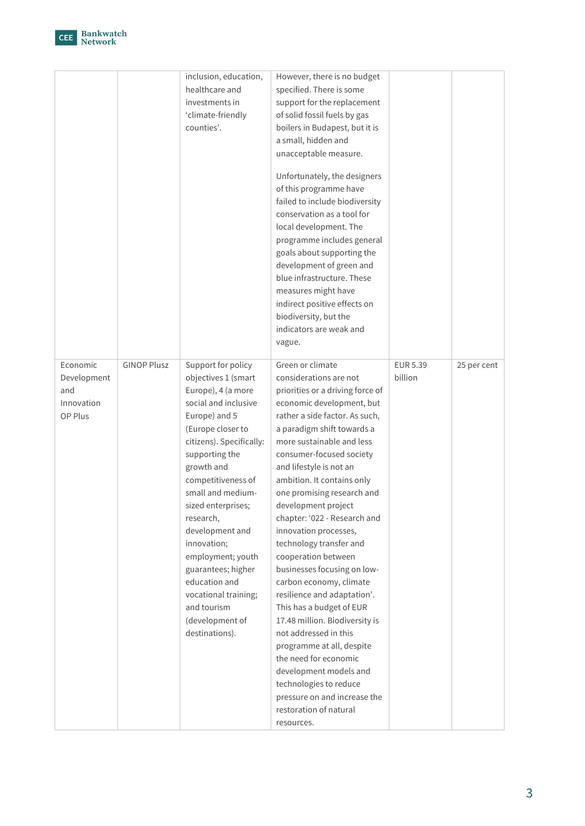

|                    |                    | inclusion, education,<br>healthcare and<br>investments in<br>'climate-friendly<br>counties'. | However, there is no budget<br>specified. There is some<br>support for the replacement<br>of solid fossil fuels by gas<br>boilers in Budapest, but it is<br>a small, hidden and<br>unacceptable measure.<br>Unfortunately, the designers<br>of this programme have<br>failed to include biodiversity<br>conservation as a tool for<br>local development. The<br>programme includes general<br>goals about supporting the<br>development of green and<br>blue infrastructure. These<br>measures might have<br>indirect positive effects on<br>biodiversity, but the<br>indicators are weak and<br>vague. |          |             |
|--------------------|--------------------|----------------------------------------------------------------------------------------------|---------------------------------------------------------------------------------------------------------------------------------------------------------------------------------------------------------------------------------------------------------------------------------------------------------------------------------------------------------------------------------------------------------------------------------------------------------------------------------------------------------------------------------------------------------------------------------------------------------|----------|-------------|
| Economic           | <b>GINOP Plusz</b> | Support for policy                                                                           | Green or climate                                                                                                                                                                                                                                                                                                                                                                                                                                                                                                                                                                                        | EUR 5.39 | 25 per cent |
| Development<br>and |                    | objectives 1 (smart                                                                          | considerations are not                                                                                                                                                                                                                                                                                                                                                                                                                                                                                                                                                                                  | billion  |             |
| Innovation         |                    | Europe), 4 (a more                                                                           | priorities or a driving force of                                                                                                                                                                                                                                                                                                                                                                                                                                                                                                                                                                        |          |             |
|                    |                    | social and inclusive                                                                         | economic development, but                                                                                                                                                                                                                                                                                                                                                                                                                                                                                                                                                                               |          |             |
| OP Plus            |                    | Europe) and 5<br>(Europe closer to                                                           | rather a side factor. As such,<br>a paradigm shift towards a                                                                                                                                                                                                                                                                                                                                                                                                                                                                                                                                            |          |             |
|                    |                    | citizens). Specifically:                                                                     | more sustainable and less                                                                                                                                                                                                                                                                                                                                                                                                                                                                                                                                                                               |          |             |
|                    |                    | supporting the                                                                               | consumer-focused society                                                                                                                                                                                                                                                                                                                                                                                                                                                                                                                                                                                |          |             |
|                    |                    | growth and                                                                                   | and lifestyle is not an                                                                                                                                                                                                                                                                                                                                                                                                                                                                                                                                                                                 |          |             |
|                    |                    | competitiveness of                                                                           | ambition. It contains only                                                                                                                                                                                                                                                                                                                                                                                                                                                                                                                                                                              |          |             |
|                    |                    | small and medium-                                                                            | one promising research and                                                                                                                                                                                                                                                                                                                                                                                                                                                                                                                                                                              |          |             |
|                    |                    | sized enterprises;                                                                           | development project                                                                                                                                                                                                                                                                                                                                                                                                                                                                                                                                                                                     |          |             |
|                    |                    | research,                                                                                    | chapter: '022 - Research and                                                                                                                                                                                                                                                                                                                                                                                                                                                                                                                                                                            |          |             |
|                    |                    | development and                                                                              | innovation processes,                                                                                                                                                                                                                                                                                                                                                                                                                                                                                                                                                                                   |          |             |
|                    |                    | innovation;                                                                                  | technology transfer and                                                                                                                                                                                                                                                                                                                                                                                                                                                                                                                                                                                 |          |             |
|                    |                    | employment; youth                                                                            | cooperation between                                                                                                                                                                                                                                                                                                                                                                                                                                                                                                                                                                                     |          |             |
|                    |                    | guarantees; higher                                                                           | businesses focusing on low-                                                                                                                                                                                                                                                                                                                                                                                                                                                                                                                                                                             |          |             |
|                    |                    | education and                                                                                | carbon economy, climate                                                                                                                                                                                                                                                                                                                                                                                                                                                                                                                                                                                 |          |             |
|                    |                    | vocational training;                                                                         | resilience and adaptation'.                                                                                                                                                                                                                                                                                                                                                                                                                                                                                                                                                                             |          |             |
|                    |                    | and tourism                                                                                  | This has a budget of EUR                                                                                                                                                                                                                                                                                                                                                                                                                                                                                                                                                                                |          |             |
|                    |                    | (development of                                                                              | 17.48 million. Biodiversity is<br>not addressed in this                                                                                                                                                                                                                                                                                                                                                                                                                                                                                                                                                 |          |             |
|                    |                    | destinations).                                                                               | programme at all, despite                                                                                                                                                                                                                                                                                                                                                                                                                                                                                                                                                                               |          |             |
|                    |                    |                                                                                              | the need for economic                                                                                                                                                                                                                                                                                                                                                                                                                                                                                                                                                                                   |          |             |
|                    |                    |                                                                                              | development models and                                                                                                                                                                                                                                                                                                                                                                                                                                                                                                                                                                                  |          |             |
|                    |                    |                                                                                              | technologies to reduce                                                                                                                                                                                                                                                                                                                                                                                                                                                                                                                                                                                  |          |             |
|                    |                    |                                                                                              | pressure on and increase the                                                                                                                                                                                                                                                                                                                                                                                                                                                                                                                                                                            |          |             |
|                    |                    |                                                                                              | restoration of natural                                                                                                                                                                                                                                                                                                                                                                                                                                                                                                                                                                                  |          |             |
|                    |                    |                                                                                              | resources.                                                                                                                                                                                                                                                                                                                                                                                                                                                                                                                                                                                              |          |             |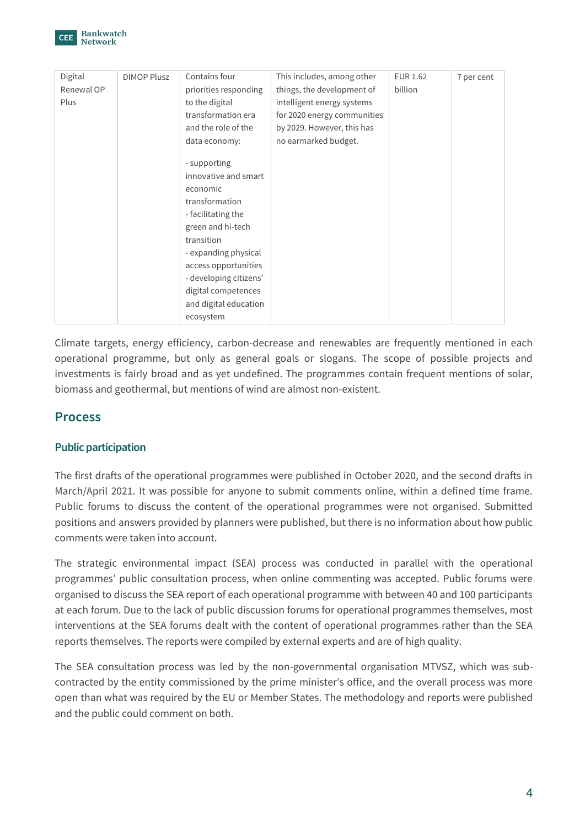

| Digital    | <b>DIMOP Plusz</b> | Contains four          | This includes, among other  | <b>EUR 1.62</b> | 7 per cent |
|------------|--------------------|------------------------|-----------------------------|-----------------|------------|
| Renewal OP |                    | priorities responding  | things, the development of  | billion         |            |
| Plus       |                    | to the digital         | intelligent energy systems  |                 |            |
|            |                    | transformation era     | for 2020 energy communities |                 |            |
|            |                    | and the role of the    | by 2029. However, this has  |                 |            |
|            |                    | data economy:          | no earmarked budget.        |                 |            |
|            |                    |                        |                             |                 |            |
|            |                    | - supporting           |                             |                 |            |
|            |                    | innovative and smart   |                             |                 |            |
|            |                    | economic               |                             |                 |            |
|            |                    | transformation         |                             |                 |            |
|            |                    | - facilitating the     |                             |                 |            |
|            |                    | green and hi-tech      |                             |                 |            |
|            |                    | transition             |                             |                 |            |
|            |                    | - expanding physical   |                             |                 |            |
|            |                    | access opportunities   |                             |                 |            |
|            |                    | - developing citizens' |                             |                 |            |
|            |                    | digital competences    |                             |                 |            |
|            |                    | and digital education  |                             |                 |            |
|            |                    | ecosystem              |                             |                 |            |

Climate targets, energy efficiency, carbon-decrease and renewables are frequently mentioned in each operational programme, but only as general goals or slogans. The scope of possible projects and investments is fairly broad and as yet undefined. The programmes contain frequent mentions of solar, biomass and geothermal, but mentions of wind are almost non-existent.

# **Process**

# **Public participation**

The first drafts of the operational programmes were published in October 2020, and the second drafts in March/April 2021. It was possible for anyone to submit comments online, within a defined time frame. Public forums to discuss the content of the operational programmes were not organised. Submitted positions and answers provided by planners were published, but there is no information about how public comments were taken into account.

The strategic environmental impact (SEA) process was conducted in parallel with the operational programmes' public consultation process, when online commenting was accepted. Public forums were organised to discuss the SEA report of each operational programme with between 40 and 100 participants at each forum. Due to the lack of public discussion forums for operational programmes themselves, most interventions at the SEA forums dealt with the content of operational programmes rather than the SEA reports themselves. The reports were compiled by external experts and are of high quality.

The SEA consultation process was led by the non-governmental organisation MTVSZ, which was subcontracted by the entity commissioned by the prime minister's office, and the overall process was more open than what was required by the EU or Member States. The methodology and reports were published and the public could comment on both.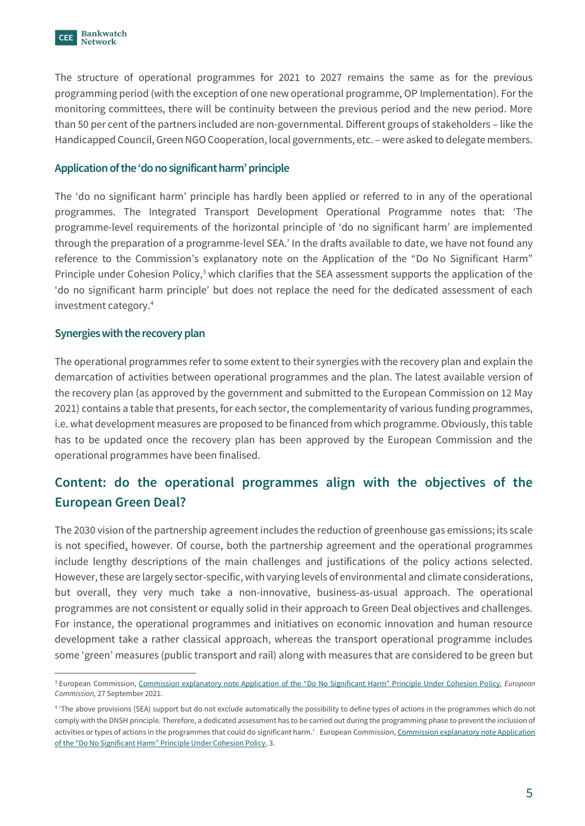The structure of operational programmes for 2021 to 2027 remains the same as for the previous programming period (with the exception of one new operational programme, OP Implementation). For the monitoring committees, there will be continuity between the previous period and the new period. More than 50 per cent of the partners included are non-governmental. Different groups of stakeholders – like the Handicapped Council, Green NGO Cooperation, local governments, etc. – were asked to delegate members.

# **Application of the 'do no significant harm' principle**

The 'do no significant harm' principle has hardly been applied or referred to in any of the operational programmes. The Integrated Transport Development Operational Programme notes that: 'The programme-level requirements of the horizontal principle of 'do no significant harm' are implemented through the preparation of a programme-level SEA.' In the drafts available to date, we have not found any reference to the Commission's explanatory note on the Application of the "Do No Significant Harm" Principle under Cohesion Policy,<sup>3</sup> which clarifies that the SEA assessment supports the application of the 'do no significant harm principle' but does not replace the need for the dedicated assessment of each investment category.<sup>4</sup>

#### **Synergies with the recovery plan**

The operational programmes refer to some extent to their synergies with the recovery plan and explain the demarcation of activities between operational programmes and the plan. The latest available version of the recovery plan (as approved by the government and submitted to the European Commission on 12 May 2021) contains a table that presents, for each sector, the complementarity of various funding programmes, i.e. what development measures are proposed to be financed from which programme. Obviously, this table has to be updated once the recovery plan has been approved by the European Commission and the operational programmes have been finalised.

# **Content: do the operational programmes align with the objectives of the European Green Deal?**

The 2030 vision of the partnership agreement includes the reduction of greenhouse gas emissions; its scale is not specified, however. Of course, both the partnership agreement and the operational programmes include lengthy descriptions of the main challenges and justifications of the policy actions selected. However, these are largely sector-specific, with varying levels of environmental and climate considerations, but overall, they very much take a non-innovative, business-as-usual approach. The operational programmes are not consistent or equally solid in their approach to Green Deal objectives and challenges. For instance, the operational programmes and initiatives on economic innovation and human resource development take a rather classical approach, whereas the transport operational programme includes some 'green' measures (public transport and rail) along with measures that are considered to be green but

<sup>3</sup> European Commission, [Commission explanatory note Application of the "Do No Significant Harm" Principle Under Cohesion Po](https://www.anpal.gov.it/documents/552016/1098881/06_EGESIF_21-0025-00_DNSH_expl_note.pdf/23bd2ac2-a422-a570-599e-e976c7eb33d5?t=1634727397571)licy, *European Commission,* 27 September 2021.

<sup>&</sup>lt;sup>4</sup> 'The above provisions (SEA) support but do not exclude automatically the possibility to define types of actions in the programmes which do not comply with the DNSH principle. Therefore, a dedicated assessment has to be carried out during the programming phase to prevent the inclusion of activities or types of actions in the programmes that could do significant harm.' European Commission, Commission explanatory note Application [of the "Do No Significant Harm" Principle Under Cohesion Policy](https://www.anpal.gov.it/documents/552016/1098881/06_EGESIF_21-0025-00_DNSH_expl_note.pdf/23bd2ac2-a422-a570-599e-e976c7eb33d5?t=1634727397571), 3.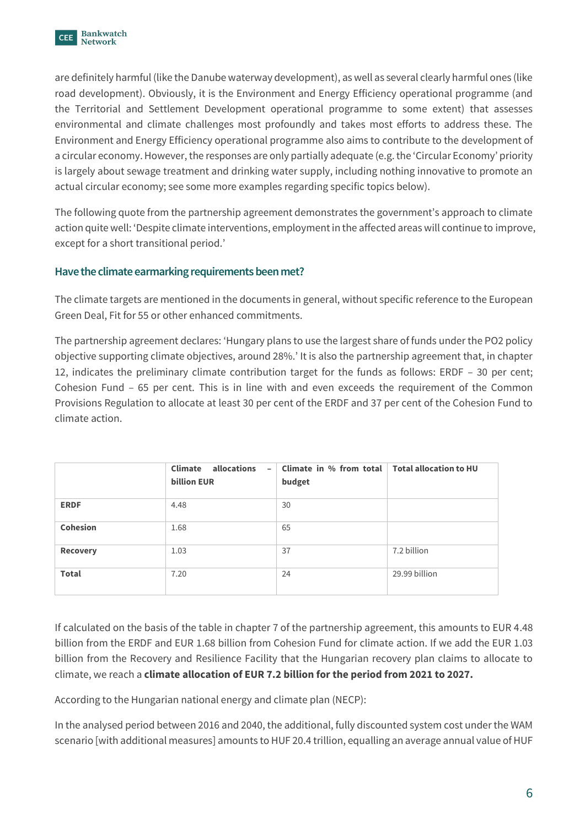

are definitely harmful (like the Danube waterway development), as well as several clearly harmful ones (like road development). Obviously, it is the Environment and Energy Efficiency operational programme (and the Territorial and Settlement Development operational programme to some extent) that assesses environmental and climate challenges most profoundly and takes most efforts to address these. The Environment and Energy Efficiency operational programme also aims to contribute to the development of a circular economy. However, the responses are only partially adequate (e.g. the 'Circular Economy' priority is largely about sewage treatment and drinking water supply, including nothing innovative to promote an actual circular economy; see some more examples regarding specific topics below).

The following quote from the partnership agreement demonstrates the government's approach to climate action quite well: 'Despite climate interventions, employment in the affected areas will continue to improve, except for a short transitional period.'

# **Have the climate earmarking requirements been met?**

The climate targets are mentioned in the documents in general, without specific reference to the European Green Deal, Fit for 55 or other enhanced commitments.

The partnership agreement declares: 'Hungary plans to use the largest share of funds under the PO2 policy objective supporting climate objectives, around 28%.' It is also the partnership agreement that, in chapter 12, indicates the preliminary climate contribution target for the funds as follows: ERDF – 30 per cent; Cohesion Fund – 65 per cent. This is in line with and even exceeds the requirement of the Common Provisions Regulation to allocate at least 30 per cent of the ERDF and 37 per cent of the Cohesion Fund to climate action.

|                 | <b>Climate</b><br>allocations<br>$\overline{\phantom{a}}$<br><b>billion EUR</b> | Climate in % from total   Total allocation to HU<br>budget |               |
|-----------------|---------------------------------------------------------------------------------|------------------------------------------------------------|---------------|
| <b>ERDF</b>     | 4.48                                                                            | 30                                                         |               |
| <b>Cohesion</b> | 1.68                                                                            | 65                                                         |               |
| <b>Recovery</b> | 1.03                                                                            | 37                                                         | 7.2 billion   |
| <b>Total</b>    | 7.20                                                                            | 24                                                         | 29.99 billion |

If calculated on the basis of the table in chapter 7 of the partnership agreement, this amounts to EUR 4.48 billion from the ERDF and EUR 1.68 billion from Cohesion Fund for climate action. If we add the EUR 1.03 billion from the Recovery and Resilience Facility that the Hungarian recovery plan claims to allocate to climate, we reach a **climate allocation of EUR 7.2 billion for the period from 2021 to 2027.**

According to the Hungarian national energy and climate plan (NECP):

In the analysed period between 2016 and 2040, the additional, fully discounted system cost under the WAM scenario [with additional measures] amounts to HUF 20.4 trillion, equalling an average annual value of HUF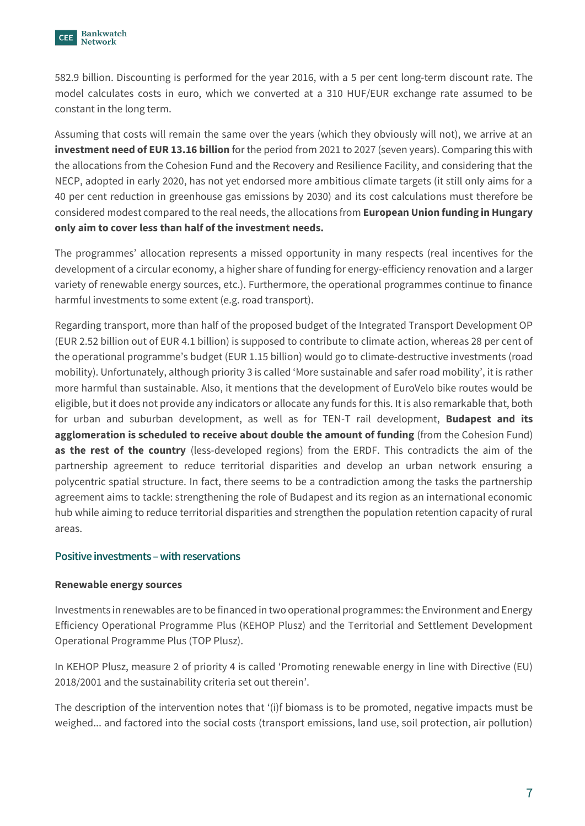

582.9 billion. Discounting is performed for the year 2016, with a 5 per cent long-term discount rate. The model calculates costs in euro, which we converted at a 310 HUF/EUR exchange rate assumed to be constant in the long term.

Assuming that costs will remain the same over the years (which they obviously will not), we arrive at an **investment need of EUR 13.16 billion** for the period from 2021 to 2027 (seven years). Comparing this with the allocations from the Cohesion Fund and the Recovery and Resilience Facility, and considering that the NECP, adopted in early 2020, has not yet endorsed more ambitious climate targets (it still only aims for a 40 per cent reduction in greenhouse gas emissions by 2030) and its cost calculations must therefore be considered modest compared to the real needs, the allocations from **European Union funding in Hungary only aim to cover less than half of the investment needs.**

The programmes' allocation represents a missed opportunity in many respects (real incentives for the development of a circular economy, a higher share of funding for energy-efficiency renovation and a larger variety of renewable energy sources, etc.). Furthermore, the operational programmes continue to finance harmful investments to some extent (e.g. road transport).

Regarding transport, more than half of the proposed budget of the Integrated Transport Development OP (EUR 2.52 billion out of EUR 4.1 billion) is supposed to contribute to climate action, whereas 28 per cent of the operational programme's budget (EUR 1.15 billion) would go to climate-destructive investments (road mobility). Unfortunately, although priority 3 is called 'More sustainable and safer road mobility', it is rather more harmful than sustainable. Also, it mentions that the development of EuroVelo bike routes would be eligible, but it does not provide any indicators or allocate any funds for this. It is also remarkable that, both for urban and suburban development, as well as for TEN-T rail development, **Budapest and its agglomeration is scheduled to receive about double the amount of funding** (from the Cohesion Fund) **as the rest of the country** (less-developed regions) from the ERDF. This contradicts the aim of the partnership agreement to reduce territorial disparities and develop an urban network ensuring a polycentric spatial structure. In fact, there seems to be a contradiction among the tasks the partnership agreement aims to tackle: strengthening the role of Budapest and its region as an international economic hub while aiming to reduce territorial disparities and strengthen the population retention capacity of rural areas.

#### **Positive investments –with reservations**

#### **Renewable energy sources**

Investments in renewables are to be financed in two operational programmes: the Environment and Energy Efficiency Operational Programme Plus (KEHOP Plusz) and the Territorial and Settlement Development Operational Programme Plus (TOP Plusz).

In KEHOP Plusz, measure 2 of priority 4 is called 'Promoting renewable energy in line with Directive (EU) 2018/2001 and the sustainability criteria set out therein'.

The description of the intervention notes that '(i)f biomass is to be promoted, negative impacts must be weighed... and factored into the social costs (transport emissions, land use, soil protection, air pollution)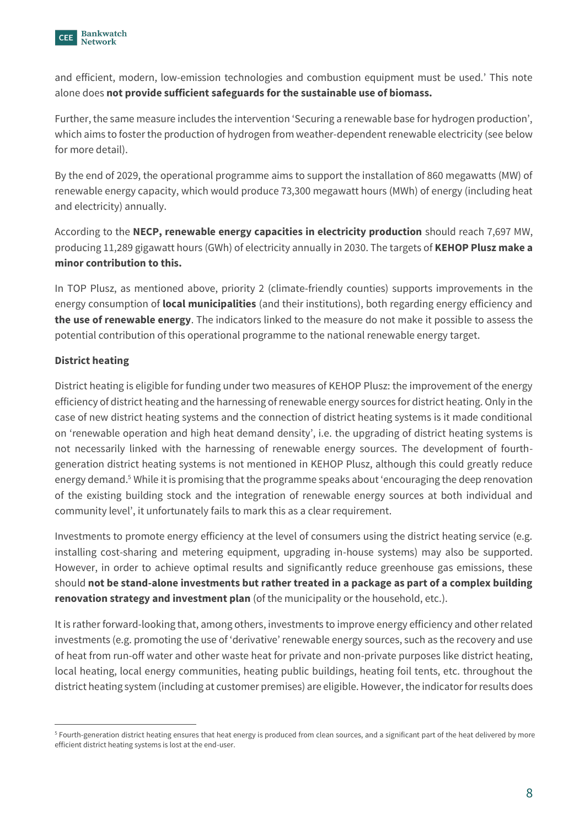

and efficient, modern, low-emission technologies and combustion equipment must be used.' This note alone does **not provide sufficient safeguards for the sustainable use of biomass.**

Further, the same measure includes the intervention 'Securing a renewable base for hydrogen production', which aims to foster the production of hydrogen from weather-dependent renewable electricity (see below for more detail).

By the end of 2029, the operational programme aims to support the installation of 860 megawatts (MW) of renewable energy capacity, which would produce 73,300 megawatt hours (MWh) of energy (including heat and electricity) annually.

According to the **NECP, renewable energy capacities in electricity production** should reach 7,697 MW, producing 11,289 gigawatt hours (GWh) of electricity annually in 2030. The targets of **KEHOP Plusz make a minor contribution to this.**

In TOP Plusz, as mentioned above, priority 2 (climate-friendly counties) supports improvements in the energy consumption of **local municipalities** (and their institutions), both regarding energy efficiency and **the use of renewable energy**. The indicators linked to the measure do not make it possible to assess the potential contribution of this operational programme to the national renewable energy target.

# **District heating**

District heating is eligible for funding under two measures of KEHOP Plusz: the improvement of the energy efficiency of district heating and the harnessing of renewable energy sources for district heating. Only in the case of new district heating systems and the connection of district heating systems is it made conditional on 'renewable operation and high heat demand density', i.e. the upgrading of district heating systems is not necessarily linked with the harnessing of renewable energy sources. The development of fourthgeneration district heating systems is not mentioned in KEHOP Plusz, although this could greatly reduce energy demand.<sup>5</sup> While it is promising that the programme speaks about 'encouraging the deep renovation of the existing building stock and the integration of renewable energy sources at both individual and community level', it unfortunately fails to mark this as a clear requirement.

Investments to promote energy efficiency at the level of consumers using the district heating service (e.g. installing cost-sharing and metering equipment, upgrading in-house systems) may also be supported. However, in order to achieve optimal results and significantly reduce greenhouse gas emissions, these should **not be stand-alone investments but rather treated in a package as part of a complex building renovation strategy and investment plan** (of the municipality or the household, etc.).

It is rather forward-looking that, among others, investments to improve energy efficiency and other related investments (e.g. promoting the use of 'derivative' renewable energy sources, such as the recovery and use of heat from run-off water and other waste heat for private and non-private purposes like district heating, local heating, local energy communities, heating public buildings, heating foil tents, etc. throughout the district heating system (including at customer premises) are eligible. However, the indicator for results does

<sup>&</sup>lt;sup>5</sup> Fourth-generation district heating ensures that heat energy is produced from clean sources, and a significant part of the heat delivered by more efficient district heating systems is lost at the end-user.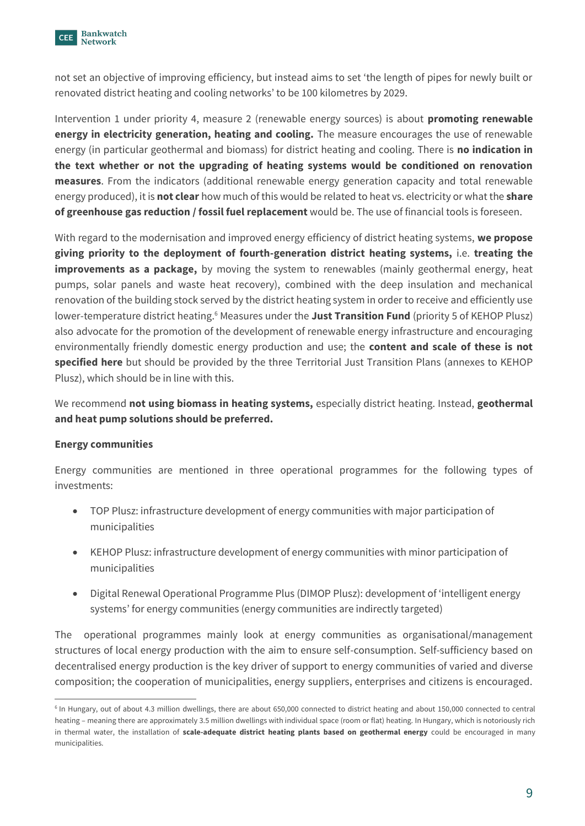

not set an objective of improving efficiency, but instead aims to set 'the length of pipes for newly built or renovated district heating and cooling networks' to be 100 kilometres by 2029.

Intervention 1 under priority 4, measure 2 (renewable energy sources) is about **promoting renewable energy in electricity generation, heating and cooling.** The measure encourages the use of renewable energy (in particular geothermal and biomass) for district heating and cooling. There is **no indication in the text whether or not the upgrading of heating systems would be conditioned on renovation measures**. From the indicators (additional renewable energy generation capacity and total renewable energy produced), it is **not clear** how much of this would be related to heat vs. electricity or what the **share of greenhouse gas reduction / fossil fuel replacement** would be. The use of financial tools is foreseen.

With regard to the modernisation and improved energy efficiency of district heating systems, **we propose giving priority to the deployment of fourth-generation district heating systems,** i.e. **treating the improvements as a package,** by moving the system to renewables (mainly geothermal energy, heat pumps, solar panels and waste heat recovery), combined with the deep insulation and mechanical renovation of the building stock served by the district heating system in order to receive and efficiently use lower-temperature district heating.<sup>6</sup> Measures under the **Just Transition Fund** (priority 5 of KEHOP Plusz) also advocate for the promotion of the development of renewable energy infrastructure and encouraging environmentally friendly domestic energy production and use; the **content and scale of these is not specified here** but should be provided by the three Territorial Just Transition Plans (annexes to KEHOP Plusz), which should be in line with this.

We recommend **not using biomass in heating systems,** especially district heating. Instead, **geothermal and heat pump solutions should be preferred.**

#### **Energy communities**

Energy communities are mentioned in three operational programmes for the following types of investments:

- TOP Plusz: infrastructure development of energy communities with major participation of municipalities
- KEHOP Plusz: infrastructure development of energy communities with minor participation of municipalities
- Digital Renewal Operational Programme Plus (DIMOP Plusz): development of 'intelligent energy systems' for energy communities (energy communities are indirectly targeted)

The operational programmes mainly look at energy communities as organisational/management structures of local energy production with the aim to ensure self-consumption. Self-sufficiency based on decentralised energy production is the key driver of support to energy communities of varied and diverse composition; the cooperation of municipalities, energy suppliers, enterprises and citizens is encouraged.

<sup>&</sup>lt;sup>6</sup> In Hungary, out of about 4.3 million dwellings, there are about 650,000 connected to district heating and about 150,000 connected to central heating – meaning there are approximately 3.5 million dwellings with individual space (room or flat) heating. In Hungary, which is notoriously rich in thermal water, the installation of **scale-adequate district heating plants based on geothermal energy** could be encouraged in many municipalities.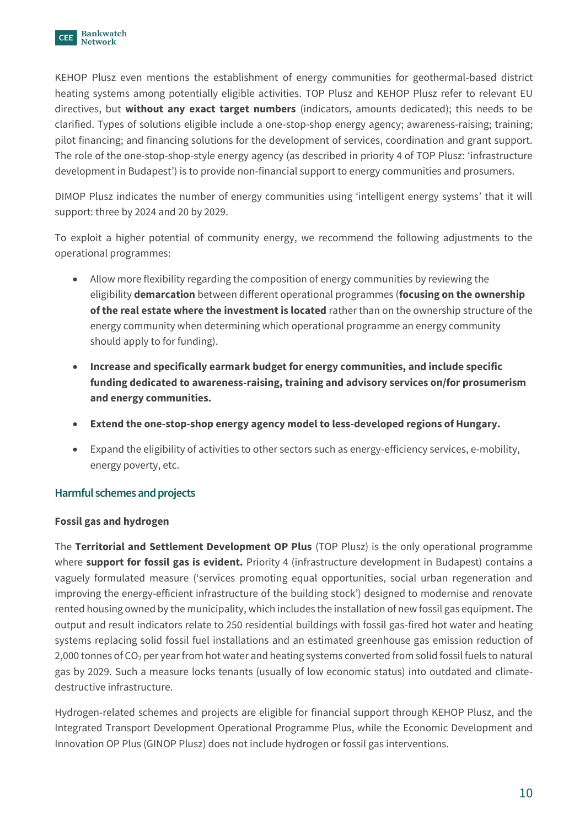

KEHOP Plusz even mentions the establishment of energy communities for geothermal-based district heating systems among potentially eligible activities. TOP Plusz and KEHOP Plusz refer to relevant EU directives, but **without any exact target numbers** (indicators, amounts dedicated); this needs to be clarified. Types of solutions eligible include a one-stop-shop energy agency; awareness-raising; training; pilot financing; and financing solutions for the development of services, coordination and grant support. The role of the one-stop-shop-style energy agency (as described in priority 4 of TOP Plusz: 'infrastructure development in Budapest') is to provide non-financial support to energy communities and prosumers.

DIMOP Plusz indicates the number of energy communities using 'intelligent energy systems' that it will support: three by 2024 and 20 by 2029.

To exploit a higher potential of community energy, we recommend the following adjustments to the operational programmes:

- Allow more flexibility regarding the composition of energy communities by reviewing the eligibility **demarcation** between different operational programmes (**focusing on the ownership of the real estate where the investment is located** rather than on the ownership structure of the energy community when determining which operational programme an energy community should apply to for funding).
- **Increase and specifically earmark budget for energy communities, and include specific funding dedicated to awareness-raising, training and advisory services on/for prosumerism and energy communities.**
- **Extend the one-stop-shop energy agency model to less-developed regions of Hungary.**
- Expand the eligibility of activities to other sectors such as energy-efficiency services, e-mobility, energy poverty, etc.

# **Harmful schemes and projects**

# **Fossil gas and hydrogen**

The **Territorial and Settlement Development OP Plus** (TOP Plusz) is the only operational programme where **support for fossil gas is evident.** Priority 4 (infrastructure development in Budapest) contains a vaguely formulated measure ('services promoting equal opportunities, social urban regeneration and improving the energy-efficient infrastructure of the building stock') designed to modernise and renovate rented housing owned by the municipality, which includes the installation of new fossil gas equipment. The output and result indicators relate to 250 residential buildings with fossil gas-fired hot water and heating systems replacing solid fossil fuel installations and an estimated greenhouse gas emission reduction of 2,000 tonnes of CO<sub>2</sub> per year from hot water and heating systems converted from solid fossil fuels to natural gas by 2029. Such a measure locks tenants (usually of low economic status) into outdated and climatedestructive infrastructure.

Hydrogen-related schemes and projects are eligible for financial support through KEHOP Plusz, and the Integrated Transport Development Operational Programme Plus, while the Economic Development and Innovation OP Plus (GINOP Plusz) does not include hydrogen or fossil gas interventions.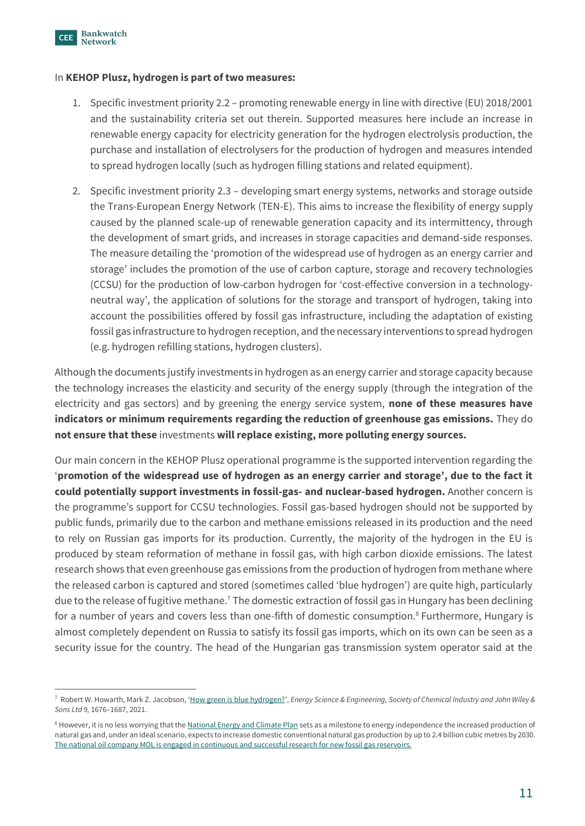

#### In **KEHOP Plusz, hydrogen is part of two measures:**

- 1. Specific investment priority 2.2 promoting renewable energy in line with directive (EU) 2018/2001 and the sustainability criteria set out therein. Supported measures here include an increase in renewable energy capacity for electricity generation for the hydrogen electrolysis production, the purchase and installation of electrolysers for the production of hydrogen and measures intended to spread hydrogen locally (such as hydrogen filling stations and related equipment).
- 2. Specific investment priority 2.3 developing smart energy systems, networks and storage outside the Trans-European Energy Network (TEN-E). This aims to increase the flexibility of energy supply caused by the planned scale-up of renewable generation capacity and its intermittency, through the development of smart grids, and increases in storage capacities and demand-side responses. The measure detailing the 'promotion of the widespread use of hydrogen as an energy carrier and storage' includes the promotion of the use of carbon capture, storage and recovery technologies (CCSU) for the production of low-carbon hydrogen for 'cost-effective conversion in a technologyneutral way', the application of solutions for the storage and transport of hydrogen, taking into account the possibilities offered by fossil gas infrastructure, including the adaptation of existing fossil gas infrastructure to hydrogen reception, and the necessary interventions to spread hydrogen (e.g. hydrogen refilling stations, hydrogen clusters).

Although the documents justify investments in hydrogen as an energy carrier and storage capacity because the technology increases the elasticity and security of the energy supply (through the integration of the electricity and gas sectors) and by greening the energy service system, **none of these measures have indicators or minimum requirements regarding the reduction of greenhouse gas emissions.** They do **not ensure that these** investments **will replace existing, more polluting energy sources.**

Our main concern in the KEHOP Plusz operational programme is the supported intervention regarding the '**promotion of the widespread use of hydrogen as an energy carrier and storage', due to the fact it could potentially support investments in fossil-gas- and nuclear-based hydrogen.** Another concern is the programme's support for CCSU technologies. Fossil gas-based hydrogen should not be supported by public funds, primarily due to the carbon and methane emissions released in its production and the need to rely on Russian gas imports for its production. Currently, the majority of the hydrogen in the EU is produced by steam reformation of methane in fossil gas, with high carbon dioxide emissions. The latest research shows that even greenhouse gas emissions from the production of hydrogen from methane where the released carbon is captured and stored (sometimes called 'blue hydrogen') are quite high, particularly due to the release of fugitive methane.<sup>7</sup> The domestic extraction of fossil gas in Hungary has been declining for a number of years and covers less than one-fifth of domestic consumption.<sup>8</sup> Furthermore, Hungary is almost completely dependent on Russia to satisfy its fossil gas imports, which on its own can be seen as a security issue for the country. The head of the Hungarian gas transmission system operator said at the

<sup>7</sup> Robert W. Howarth, Mark Z. Jacobson, '[How green is blue hydrogen?](https://onlinelibrary.wiley.com/doi/epdf/10.1002/ese3.956)', *Energy Science & Engineering, Society of Chemical Industry and John Wiley & Sons Ltd* 9*,* 1676–1687, 2021.

<sup>&</sup>lt;sup>8</sup> However, it is no less worrying that th[e National Energy and Climate Plan](https://ec.europa.eu/energy/sites/ener/files/documents/hu_final_necp_main_en.pdf) sets as a milestone to energy independence the increased production of natural gas and, under an ideal scenario, expects to increase domestic conventional natural gas production by up to 2.4 billion cubic metres by 2030. [The national oil company MOL is engaged in continuous and successful research for new fossil gas reservoirs.](https://www.portfolio.hu/uzlet/20220418/rendszeresen-talalnak-magyarorszagon-uj-foldgazmezoket-igy-csokkenhet-az-importfuggosegunk-539767)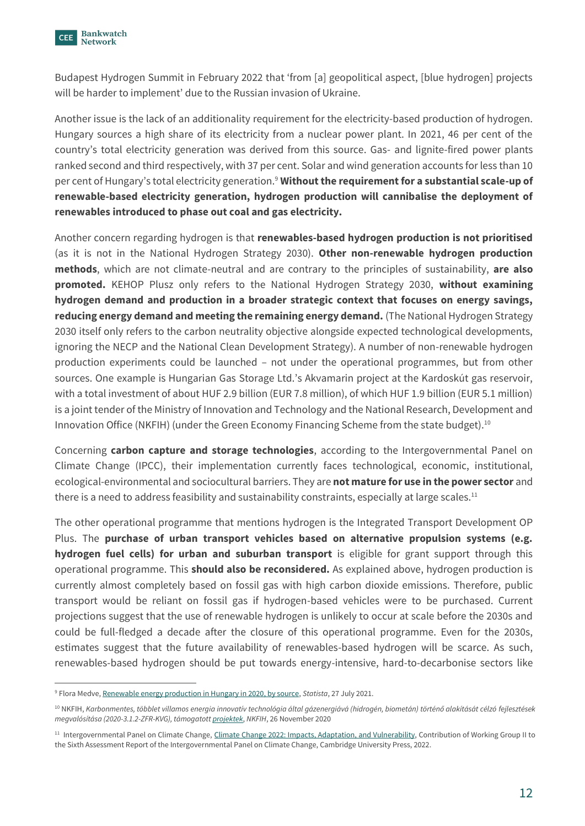

Budapest Hydrogen Summit in February 2022 that 'from [a] geopolitical aspect, [blue hydrogen] projects will be harder to implement' due to the Russian invasion of Ukraine.

Another issue is the lack of an additionality requirement for the electricity-based production of hydrogen. Hungary sources a high share of its electricity from a nuclear power plant. In 2021, 46 per cent of the country's total electricity generation was derived from this source. Gas- and lignite-fired power plants ranked second and third respectively, with 37 per cent. Solar and wind generation accounts for less than 10 per cent of Hungary's total electricity generation.<sup>9</sup> **Without the requirement for a substantial scale-up of renewable-based electricity generation, hydrogen production will cannibalise the deployment of renewables introduced to phase out coal and gas electricity.** 

Another concern regarding hydrogen is that **renewables-based hydrogen production is not prioritised** (as it is not in the National Hydrogen Strategy 2030). **Other non-renewable hydrogen production methods**, which are not climate-neutral and are contrary to the principles of sustainability, **are also promoted.** KEHOP Plusz only refers to the National Hydrogen Strategy 2030, **without examining hydrogen demand and production in a broader strategic context that focuses on energy savings, reducing energy demand and meeting the remaining energy demand.** (The National Hydrogen Strategy 2030 itself only refers to the carbon neutrality objective alongside expected technological developments, ignoring the NECP and the National Clean Development Strategy). A number of non-renewable hydrogen production experiments could be launched – not under the operational programmes, but from other sources. One example is Hungarian Gas Storage Ltd.'s Akvamarin project at the Kardoskút gas reservoir, with a total investment of about HUF 2.9 billion (EUR 7.8 million), of which HUF 1.9 billion (EUR 5.1 million) is a joint tender of the Ministry of Innovation and Technology and the National Research, Development and Innovation Office (NKFIH) (under the Green Economy Financing Scheme from the state budget).<sup>10</sup>

Concerning **carbon capture and storage technologies**, according to the Intergovernmental Panel on Climate Change (IPCC), their implementation currently faces technological, economic, institutional, ecological-environmental and sociocultural barriers. They are **not mature for use in the power sector** and there is a need to address feasibility and sustainability constraints, especially at large scales.<sup>11</sup>

The other operational programme that mentions hydrogen is the Integrated Transport Development OP Plus. The **purchase of urban transport vehicles based on alternative propulsion systems (e.g. hydrogen fuel cells) for urban and suburban transport** is eligible for grant support through this operational programme. This **should also be reconsidered.** As explained above, hydrogen production is currently almost completely based on fossil gas with high carbon dioxide emissions. Therefore, public transport would be reliant on fossil gas if hydrogen-based vehicles were to be purchased. Current projections suggest that the use of renewable hydrogen is unlikely to occur at scale before the 2030s and could be full-fledged a decade after the closure of this operational programme. Even for the 2030s, estimates suggest that the future availability of renewables-based hydrogen will be scarce. As such, renewables-based hydrogen should be put towards energy-intensive, hard-to-decarbonise sectors like

<sup>9</sup> Flora Medve[, Renewable energy production in Hungary in 2020, by source,](https://www.statista.com/statistics/1253412/hungary-renewable-energy-production-by-type/) *Statista*, 27 July 2021.

<sup>10</sup> NKFIH, *[Karbonmentes, többlet villamos energia innovatív technológia által gázenergiává \(hidrogén, biometán\) történő alakítását célzó](https://nkfih.gov.hu/palyazoknak/egyeb-tamogatas/zfr-kvg) fejlesztések [megvalósítása \(2020-3.1.2-ZFR-KVG\), támogatott projektek](https://nkfih.gov.hu/palyazoknak/egyeb-tamogatas/zfr-kvg)*, *NKFIH*, 26 November 2020

<sup>&</sup>lt;sup>11</sup> Intergovernmental Panel on Climate Change, [Climate Change 2022: Impacts, Adaptation, and Vulnerability,](https://www.ipcc.ch/report/ar6/wg2/downloads/report/IPCC_AR6_WGII_FinalDraft_FullReport.pdf) Contribution of Working Group II to the Sixth Assessment Report of the Intergovernmental Panel on Climate Change, Cambridge University Press, 2022.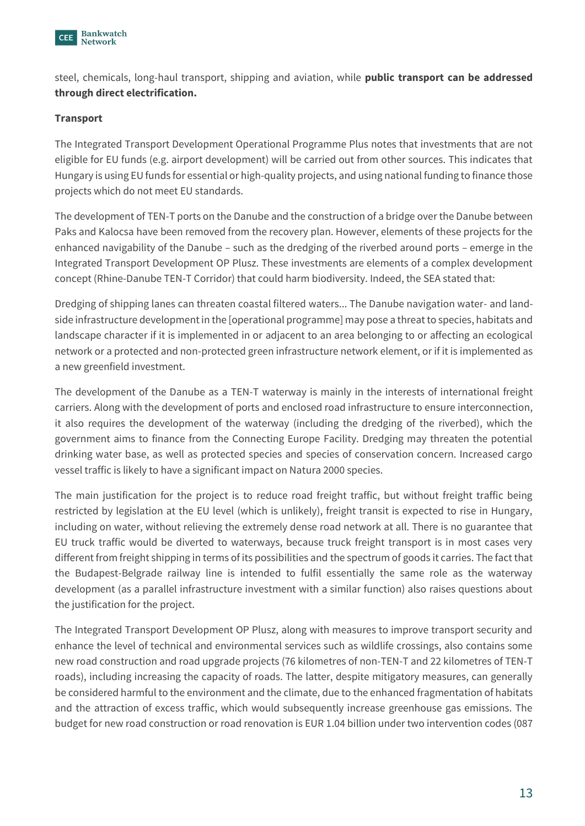

steel, chemicals, long-haul transport, shipping and aviation, while **public transport can be addressed through direct electrification.** 

# **Transport**

The Integrated Transport Development Operational Programme Plus notes that investments that are not eligible for EU funds (e.g. airport development) will be carried out from other sources. This indicates that Hungary is using EU funds for essential or high-quality projects, and using national funding to finance those projects which do not meet EU standards.

The development of TEN-T ports on the Danube and the construction of a bridge over the Danube between Paks and Kalocsa have been removed from the recovery plan. However, elements of these projects for the enhanced navigability of the Danube – such as the dredging of the riverbed around ports – emerge in the Integrated Transport Development OP Plusz. These investments are elements of a complex development concept (Rhine-Danube TEN-T Corridor) that could harm biodiversity. Indeed, the SEA stated that:

Dredging of shipping lanes can threaten coastal filtered waters... The Danube navigation water- and landside infrastructure development in the [operational programme] may pose a threat to species, habitats and landscape character if it is implemented in or adjacent to an area belonging to or affecting an ecological network or a protected and non-protected green infrastructure network element, or if it is implemented as a new greenfield investment.

The development of the Danube as a TEN-T waterway is mainly in the interests of international freight carriers. Along with the development of ports and enclosed road infrastructure to ensure interconnection, it also requires the development of the waterway (including the dredging of the riverbed), which the government aims to finance from the Connecting Europe Facility. Dredging may threaten the potential drinking water base, as well as protected species and species of conservation concern. Increased cargo vessel traffic is likely to have a significant impact on Natura 2000 species.

The main justification for the project is to reduce road freight traffic, but without freight traffic being restricted by legislation at the EU level (which is unlikely), freight transit is expected to rise in Hungary, including on water, without relieving the extremely dense road network at all. There is no guarantee that EU truck traffic would be diverted to waterways, because truck freight transport is in most cases very different from freight shipping in terms of its possibilities and the spectrum of goods it carries. The fact that the Budapest-Belgrade railway line is intended to fulfil essentially the same role as the waterway development (as a parallel infrastructure investment with a similar function) also raises questions about the justification for the project.

The Integrated Transport Development OP Plusz, along with measures to improve transport security and enhance the level of technical and environmental services such as wildlife crossings, also contains some new road construction and road upgrade projects (76 kilometres of non-TEN-T and 22 kilometres of TEN-T roads), including increasing the capacity of roads. The latter, despite mitigatory measures, can generally be considered harmful to the environment and the climate, due to the enhanced fragmentation of habitats and the attraction of excess traffic, which would subsequently increase greenhouse gas emissions. The budget for new road construction or road renovation is EUR 1.04 billion under two intervention codes (087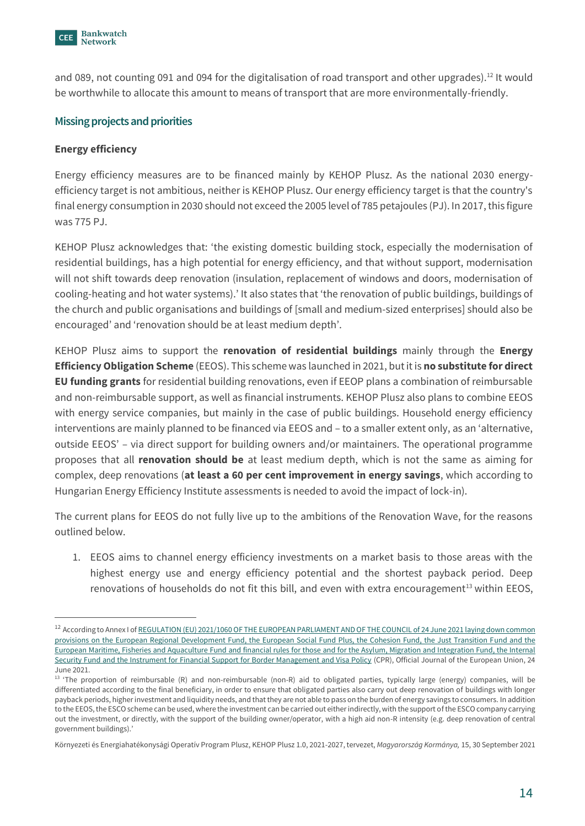

and 089, not counting 091 and 094 for the digitalisation of road transport and other upgrades).<sup>12</sup> It would be worthwhile to allocate this amount to means of transport that are more environmentally-friendly.

#### **Missing projects and priorities**

#### **Energy efficiency**

Energy efficiency measures are to be financed mainly by KEHOP Plusz. As the national 2030 energyefficiency target is not ambitious, neither is KEHOP Plusz. Our energy efficiency target is that the country's final energy consumption in 2030 should not exceed the 2005 level of 785 petajoules (PJ). In 2017, this figure was 775 PJ.

KEHOP Plusz acknowledges that: 'the existing domestic building stock, especially the modernisation of residential buildings, has a high potential for energy efficiency, and that without support, modernisation will not shift towards deep renovation (insulation, replacement of windows and doors, modernisation of cooling-heating and hot water systems).' It also states that 'the renovation of public buildings, buildings of the church and public organisations and buildings of [small and medium-sized enterprises] should also be encouraged' and 'renovation should be at least medium depth'.

KEHOP Plusz aims to support the **renovation of residential buildings** mainly through the **Energy Efficiency Obligation Scheme** (EEOS). This scheme was launched in 2021, but it is **no substitute for direct EU funding grants** for residential building renovations, even if EEOP plans a combination of reimbursable and non-reimbursable support, as well as financial instruments. KEHOP Plusz also plans to combine EEOS with energy service companies, but mainly in the case of public buildings. Household energy efficiency interventions are mainly planned to be financed via EEOS and – to a smaller extent only, as an 'alternative, outside EEOS' – via direct support for building owners and/or maintainers. The operational programme proposes that all **renovation should be** at least medium depth, which is not the same as aiming for complex, deep renovations (**at least a 60 per cent improvement in energy savings**, which according to Hungarian Energy Efficiency Institute assessments is needed to avoid the impact of lock-in).

The current plans for EEOS do not fully live up to the ambitions of the Renovation Wave, for the reasons outlined below.

1. EEOS aims to channel energy efficiency investments on a market basis to those areas with the highest energy use and energy efficiency potential and the shortest payback period. Deep renovations of households do not fit this bill, and even with extra encouragement<sup>13</sup> within EEOS,

<sup>&</sup>lt;sup>12</sup> According to Annex I of REGULATION (EU) 2021/1060 OF THE EUROPEAN PARLIAMENT AND OF THE COUNCIL of 24 June 2021 laying down common [provisions on the European Regional Development Fund, the European Social Fund Plus, the Cohesion Fund, the Just Transition Fund and the](https://eur-lex.europa.eu/legal-content/EN/TXT/?uri=CELEX%3A32021R1060)  [European Maritime, Fisheries and Aquaculture Fund and financial rules for those and for the Asylum, Migration and Integration Fund, the Internal](https://eur-lex.europa.eu/legal-content/EN/TXT/?uri=CELEX%3A32021R1060)  [Security Fund and the Instrument for Financial Support for Border Management and Visa Policy](https://eur-lex.europa.eu/legal-content/EN/TXT/?uri=CELEX%3A32021R1060) (CPR), Official Journal of the European Union, 24 June 2021.

<sup>&</sup>lt;sup>13</sup> 'The proportion of reimbursable (R) and non-reimbursable (non-R) aid to obligated parties, typically large (energy) companies, will be differentiated according to the final beneficiary, in order to ensure that obligated parties also carry out deep renovation of buildings with longer payback periods, higher investment and liquidity needs, and that they are not able to pass on the burden of energy savings to consumers. In addition to the EEOS, the ESCO scheme can be used, where the investment can be carried out either indirectly, with the support of the ESCO company carrying out the investment, or directly, with the support of the building owner/operator, with a high aid non-R intensity (e.g. deep renovation of central government buildings).'

Környezeti és Energiahatékonysági Operatív Program Plusz, KEHOP Plusz 1.0, 2021-2027, tervezet, *Magyarország Kormánya,* 15, 30 September 2021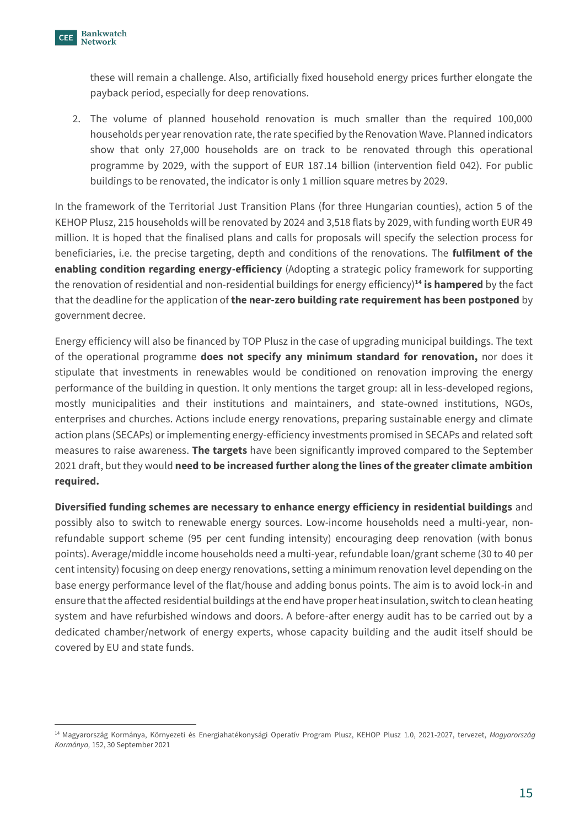these will remain a challenge. Also, artificially fixed household energy prices further elongate the payback period, especially for deep renovations.

2. The volume of planned household renovation is much smaller than the required 100,000 households per year renovation rate, the rate specified by the Renovation Wave. Planned indicators show that only 27,000 households are on track to be renovated through this operational programme by 2029, with the support of EUR 187.14 billion (intervention field 042). For public buildings to be renovated, the indicator is only 1 million square metres by 2029.

In the framework of the Territorial Just Transition Plans (for three Hungarian counties), action 5 of the KEHOP Plusz, 215 households will be renovated by 2024 and 3,518 flats by 2029, with funding worth EUR 49 million. It is hoped that the finalised plans and calls for proposals will specify the selection process for beneficiaries, i.e. the precise targeting, depth and conditions of the renovations. The **fulfilment of the enabling condition regarding energy-efficiency** (Adopting a strategic policy framework for supporting the renovation of residential and non-residential buildings for energy efficiency)**<sup>14</sup> is hampered** by the fact that the deadline for the application of **the near-zero building rate requirement has been postponed** by government decree.

Energy efficiency will also be financed by TOP Plusz in the case of upgrading municipal buildings. The text of the operational programme **does not specify any minimum standard for renovation,** nor does it stipulate that investments in renewables would be conditioned on renovation improving the energy performance of the building in question. It only mentions the target group: all in less-developed regions, mostly municipalities and their institutions and maintainers, and state-owned institutions, NGOs, enterprises and churches. Actions include energy renovations, preparing sustainable energy and climate action plans (SECAPs) or implementing energy-efficiency investments promised in SECAPs and related soft measures to raise awareness. **The targets** have been significantly improved compared to the September 2021 draft, but they would **need to be increased further along the lines of the greater climate ambition required.** 

**Diversified funding schemes are necessary to enhance energy efficiency in residential buildings** and possibly also to switch to renewable energy sources. Low-income households need a multi-year, nonrefundable support scheme (95 per cent funding intensity) encouraging deep renovation (with bonus points). Average/middle income households need a multi-year, refundable loan/grant scheme (30 to 40 per cent intensity) focusing on deep energy renovations, setting a minimum renovation level depending on the base energy performance level of the flat/house and adding bonus points. The aim is to avoid lock-in and ensure that the affected residential buildings at the end have proper heat insulation, switch to clean heating system and have refurbished windows and doors. A before-after energy audit has to be carried out by a dedicated chamber/network of energy experts, whose capacity building and the audit itself should be covered by EU and state funds.

<sup>14</sup> Magyarország Kormánya, Környezeti és Energiahatékonysági Operatív Program Plusz, KEHOP Plusz 1.0, 2021-2027, tervezet, *Magyarország Kormánya,* 152, 30 September 2021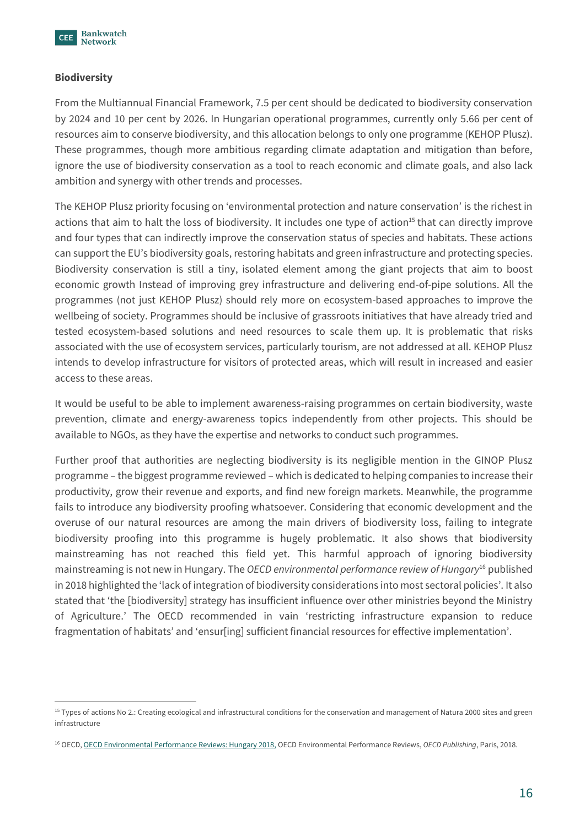

#### **Biodiversity**

From the Multiannual Financial Framework, 7.5 per cent should be dedicated to biodiversity conservation by 2024 and 10 per cent by 2026. In Hungarian operational programmes, currently only 5.66 per cent of resources aim to conserve biodiversity, and this allocation belongs to only one programme (KEHOP Plusz). These programmes, though more ambitious regarding climate adaptation and mitigation than before, ignore the use of biodiversity conservation as a tool to reach economic and climate goals, and also lack ambition and synergy with other trends and processes.

The KEHOP Plusz priority focusing on 'environmental protection and nature conservation' is the richest in actions that aim to halt the loss of biodiversity. It includes one type of action<sup>15</sup> that can directly improve and four types that can indirectly improve the conservation status of species and habitats. These actions can support the EU's biodiversity goals, restoring habitats and green infrastructure and protecting species. Biodiversity conservation is still a tiny, isolated element among the giant projects that aim to boost economic growth Instead of improving grey infrastructure and delivering end-of-pipe solutions. All the programmes (not just KEHOP Plusz) should rely more on ecosystem-based approaches to improve the wellbeing of society. Programmes should be inclusive of grassroots initiatives that have already tried and tested ecosystem-based solutions and need resources to scale them up. It is problematic that risks associated with the use of ecosystem services, particularly tourism, are not addressed at all. KEHOP Plusz intends to develop infrastructure for visitors of protected areas, which will result in increased and easier access to these areas.

It would be useful to be able to implement awareness-raising programmes on certain biodiversity, waste prevention, climate and energy-awareness topics independently from other projects. This should be available to NGOs, as they have the expertise and networks to conduct such programmes.

Further proof that authorities are neglecting biodiversity is its negligible mention in the GINOP Plusz programme – the biggest programme reviewed – which is dedicated to helping companies to increase their productivity, grow their revenue and exports, and find new foreign markets. Meanwhile, the programme fails to introduce any biodiversity proofing whatsoever. Considering that economic development and the overuse of our natural resources are among the main drivers of biodiversity loss, failing to integrate biodiversity proofing into this programme is hugely problematic. It also shows that biodiversity mainstreaming has not reached this field yet. This harmful approach of ignoring biodiversity mainstreaming is not new in Hungary. The *OECD environmental performance review of Hungary*<sup>16</sup> published in 2018 highlighted the 'lack of integration of biodiversity considerations into most sectoral policies'. It also stated that 'the [biodiversity] strategy has insufficient influence over other ministries beyond the Ministry of Agriculture.' The OECD recommended in vain 'restricting infrastructure expansion to reduce fragmentation of habitats' and 'ensur[ing] sufficient financial resources for effective implementation'.

<sup>&</sup>lt;sup>15</sup> Types of actions No 2.: Creating ecological and infrastructural conditions for the conservation and management of Natura 2000 sites and green infrastructure

<sup>16</sup> OECD[, OECD Environmental Performance Reviews: Hungary 2018,](https://www.oecd-ilibrary.org/environment/hungary-2018_9789264298613-en) OECD Environmental Performance Reviews, *OECD Publishing*, Paris, 2018.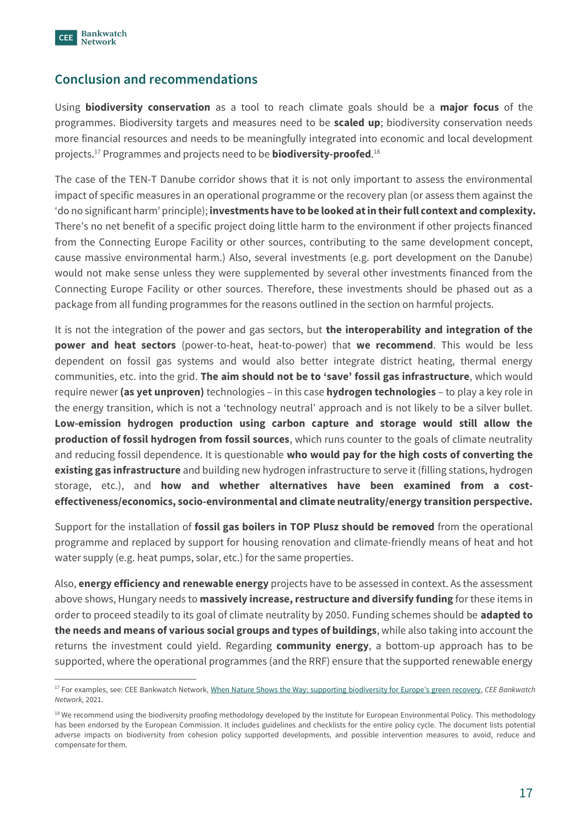

# **Conclusion and recommendations**

Using **biodiversity conservation** as a tool to reach climate goals should be a **major focus** of the programmes. Biodiversity targets and measures need to be **scaled up**; biodiversity conservation needs more financial resources and needs to be meaningfully integrated into economic and local development projects.<sup>17</sup> Programmes and projects need to be **biodiversity-proofed**. 18

The case of the TEN-T Danube corridor shows that it is not only important to assess the environmental impact of specific measures in an operational programme or the recovery plan (or assess them against the 'do no significant harm' principle); **investments have to be looked at in their full context and complexity.**  There's no net benefit of a specific project doing little harm to the environment if other projects financed from the Connecting Europe Facility or other sources, contributing to the same development concept, cause massive environmental harm.) Also, several investments (e.g. port development on the Danube) would not make sense unless they were supplemented by several other investments financed from the Connecting Europe Facility or other sources. Therefore, these investments should be phased out as a package from all funding programmes for the reasons outlined in the section on harmful projects.

It is not the integration of the power and gas sectors, but **the interoperability and integration of the power and heat sectors** (power-to-heat, heat-to-power) that **we recommend**. This would be less dependent on fossil gas systems and would also better integrate district heating, thermal energy communities, etc. into the grid. **The aim should not be to 'save' fossil gas infrastructure**, which would require newer **(as yet unproven)** technologies – in this case **hydrogen technologies** – to play a key role in the energy transition, which is not a 'technology neutral' approach and is not likely to be a silver bullet. **Low-emission hydrogen production using carbon capture and storage would still allow the production of fossil hydrogen from fossil sources**, which runs counter to the goals of climate neutrality and reducing fossil dependence. It is questionable **who would pay for the high costs of converting the existing gas infrastructure** and building new hydrogen infrastructure to serve it (filling stations, hydrogen storage, etc.), and **how and whether alternatives have been examined from a costeffectiveness/economics, socio-environmental and climate neutrality/energy transition perspective.**

Support for the installation of **fossil gas boilers in TOP Plusz should be removed** from the operational programme and replaced by support for housing renovation and climate-friendly means of heat and hot water supply (e.g. heat pumps, solar, etc.) for the same properties.

Also, **energy efficiency and renewable energy** projects have to be assessed in context. As the assessment above shows, Hungary needs to **massively increase, restructure and diversify funding** for these items in order to proceed steadily to its goal of climate neutrality by 2050. Funding schemes should be **adapted to the needs and means of various social groups and types of buildings**, while also taking into account the returns the investment could yield. Regarding **community energy**, a bottom-up approach has to be supported, where the operational programmes (and the RRF) ensure that the supported renewable energy

<sup>&</sup>lt;sup>17</sup> For examples, see: CEE Bankwatch Network[, When Nature Shows the Way: supporting biodivers](https://bankwatch.org/wp-content/uploads/2021/07/When-Nature-Shows-the-Way_Supporting-biodiversity-for-Europes-green-recovery.pdf)ity for Europe's green recovery, CEE Bankwatch *Network,* 2021.

<sup>&</sup>lt;sup>18</sup> We recommend using the biodiversity proofing methodology developed by the Institute for European Environmental Policy. This methodology has been endorsed by the European Commission. It includes guidelines and checklists for the entire policy cycle. The document lists potential adverse impacts on biodiversity from cohesion policy supported developments, and possible intervention measures to avoid, reduce and compensate for them.